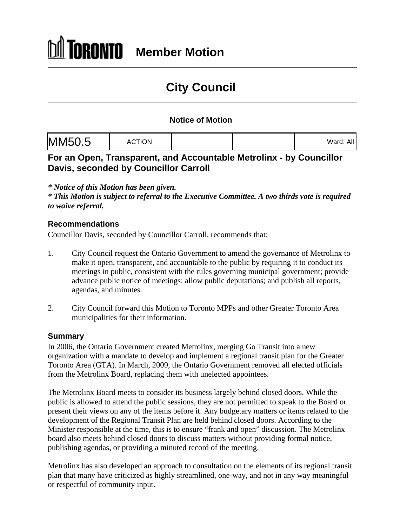# **City Council**

## **Notice of Motion**

|--|--|

## **For an Open, Transparent, and Accountable Metrolinx - by Councillor Davis, seconded by Councillor Carroll**

*\* Notice of this Motion has been given.*

*\* This Motion is subject to referral to the Executive Committee. A two thirds vote is required to waive referral.*

### **Recommendations**

Councillor Davis, seconded by Councillor Carroll, recommends that:

- 1. City Council request the Ontario Government to amend the governance of Metrolinx to make it open, transparent, and accountable to the public by requiring it to conduct its meetings in public, consistent with the rules governing municipal government; provide advance public notice of meetings; allow public deputations; and publish all reports, agendas, and minutes.
- 2. City Council forward this Motion to Toronto MPPs and other Greater Toronto Area municipalities for their information.

### **Summary**

In 2006, the Ontario Government created Metrolinx, merging Go Transit into a new organization with a mandate to develop and implement a regional transit plan for the Greater Toronto Area (GTA). In March, 2009, the Ontario Government removed all elected officials from the Metrolinx Board, replacing them with unelected appointees.

The Metrolinx Board meets to consider its business largely behind closed doors. While the public is allowed to attend the public sessions, they are not permitted to speak to the Board or present their views on any of the items before it. Any budgetary matters or items related to the development of the Regional Transit Plan are held behind closed doors. According to the Minister responsible at the time, this is to ensure "frank and open" discussion. The Metrolinx board also meets behind closed doors to discuss matters without providing formal notice, publishing agendas, or providing a minuted record of the meeting.

Metrolinx has also developed an approach to consultation on the elements of its regional transit plan that many have criticized as highly streamlined, one-way, and not in any way meaningful or respectful of community input.